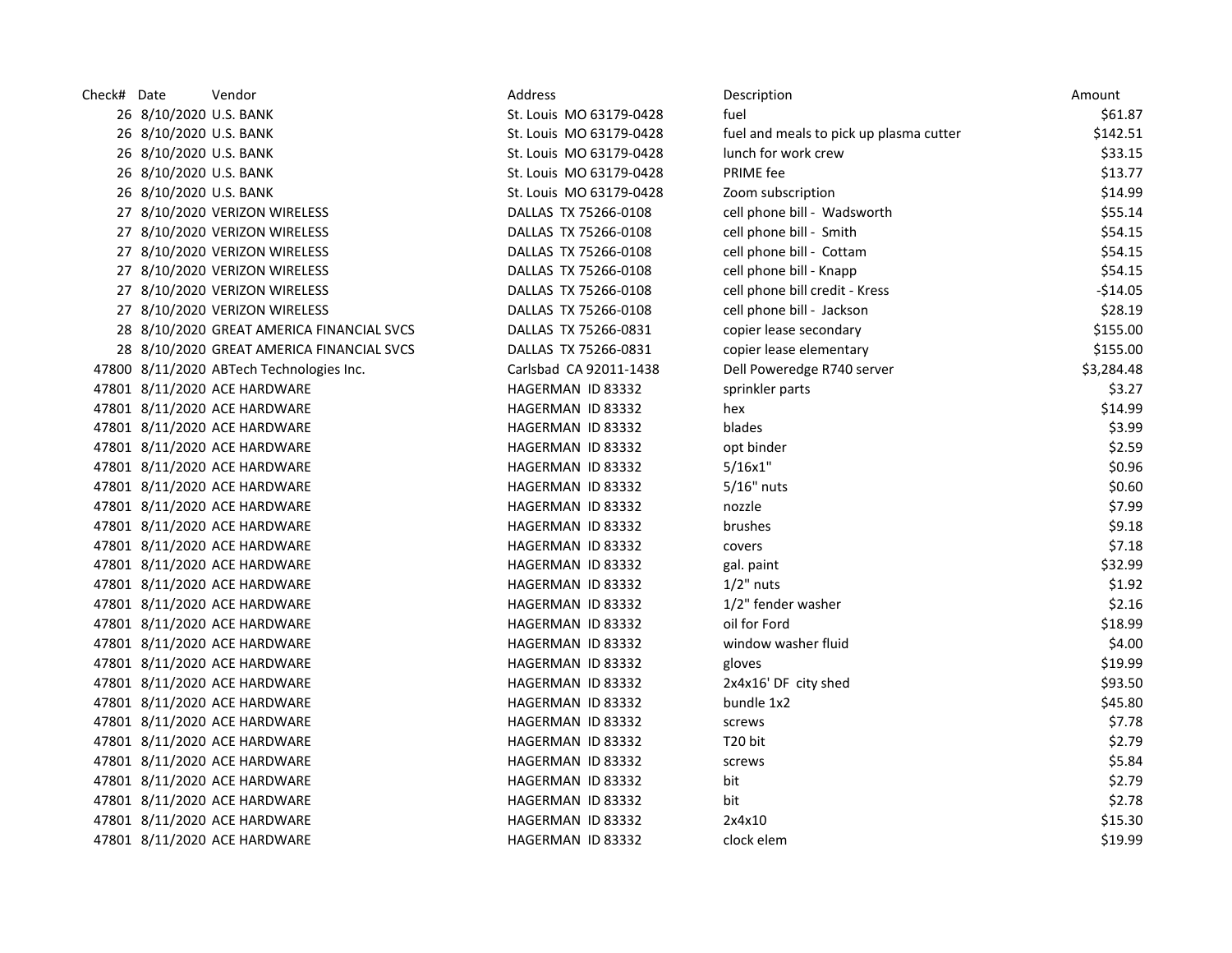| Check# Date |                        | Vendor                                    | Address                  | Description                             | Amount     |
|-------------|------------------------|-------------------------------------------|--------------------------|-----------------------------------------|------------|
|             | 26 8/10/2020 U.S. BANK |                                           | St. Louis MO 63179-0428  | fuel                                    | \$61.87    |
|             | 26 8/10/2020 U.S. BANK |                                           | St. Louis MO 63179-0428  | fuel and meals to pick up plasma cutter | \$142.51   |
|             | 26 8/10/2020 U.S. BANK |                                           | St. Louis MO 63179-0428  | lunch for work crew                     | \$33.15    |
|             | 26 8/10/2020 U.S. BANK |                                           | St. Louis MO 63179-0428  | PRIME fee                               | \$13.77    |
|             | 26 8/10/2020 U.S. BANK |                                           | St. Louis MO 63179-0428  | Zoom subscription                       | \$14.99    |
|             |                        | 27 8/10/2020 VERIZON WIRELESS             | DALLAS TX 75266-0108     | cell phone bill - Wadsworth             | \$55.14    |
|             |                        | 27 8/10/2020 VERIZON WIRELESS             | DALLAS TX 75266-0108     | cell phone bill - Smith                 | \$54.15    |
|             |                        | 27 8/10/2020 VERIZON WIRELESS             | DALLAS TX 75266-0108     | cell phone bill - Cottam                | \$54.15    |
|             |                        | 27 8/10/2020 VERIZON WIRELESS             | DALLAS TX 75266-0108     | cell phone bill - Knapp                 | \$54.15    |
|             |                        | 27 8/10/2020 VERIZON WIRELESS             | DALLAS TX 75266-0108     | cell phone bill credit - Kress          | $-$14.05$  |
|             |                        | 27 8/10/2020 VERIZON WIRELESS             | DALLAS TX 75266-0108     | cell phone bill - Jackson               | \$28.19    |
|             |                        | 28 8/10/2020 GREAT AMERICA FINANCIAL SVCS | DALLAS TX 75266-0831     | copier lease secondary                  | \$155.00   |
|             |                        | 28 8/10/2020 GREAT AMERICA FINANCIAL SVCS | DALLAS TX 75266-0831     | copier lease elementary                 | \$155.00   |
|             |                        | 47800 8/11/2020 ABTech Technologies Inc.  | Carlsbad CA 92011-1438   | Dell Poweredge R740 server              | \$3,284.48 |
|             |                        | 47801 8/11/2020 ACE HARDWARE              | HAGERMAN ID 83332        | sprinkler parts                         | \$3.27     |
|             |                        | 47801 8/11/2020 ACE HARDWARE              | HAGERMAN ID 83332        | hex                                     | \$14.99    |
|             |                        | 47801 8/11/2020 ACE HARDWARE              | HAGERMAN ID 83332        | blades                                  | \$3.99     |
|             |                        | 47801 8/11/2020 ACE HARDWARE              | HAGERMAN ID 83332        | opt binder                              | \$2.59     |
|             |                        | 47801 8/11/2020 ACE HARDWARE              | HAGERMAN ID 83332        | 5/16x1"                                 | \$0.96     |
|             |                        | 47801 8/11/2020 ACE HARDWARE              | HAGERMAN ID 83332        | $5/16"$ nuts                            | \$0.60     |
|             |                        | 47801 8/11/2020 ACE HARDWARE              | HAGERMAN ID 83332        | nozzle                                  | \$7.99     |
|             |                        | 47801 8/11/2020 ACE HARDWARE              | HAGERMAN ID 83332        | brushes                                 | \$9.18     |
|             |                        | 47801 8/11/2020 ACE HARDWARE              | HAGERMAN ID 83332        | covers                                  | \$7.18     |
|             |                        | 47801 8/11/2020 ACE HARDWARE              | HAGERMAN ID 83332        | gal. paint                              | \$32.99    |
|             |                        | 47801 8/11/2020 ACE HARDWARE              | HAGERMAN ID 83332        | $1/2$ " nuts                            | \$1.92     |
|             |                        | 47801 8/11/2020 ACE HARDWARE              | HAGERMAN ID 83332        | 1/2" fender washer                      | \$2.16     |
|             |                        | 47801 8/11/2020 ACE HARDWARE              | HAGERMAN ID 83332        | oil for Ford                            | \$18.99    |
|             |                        | 47801 8/11/2020 ACE HARDWARE              | HAGERMAN ID 83332        | window washer fluid                     | \$4.00     |
|             |                        | 47801 8/11/2020 ACE HARDWARE              | HAGERMAN ID 83332        | gloves                                  | \$19.99    |
|             |                        | 47801 8/11/2020 ACE HARDWARE              | HAGERMAN ID 83332        | 2x4x16' DF city shed                    | \$93.50    |
|             |                        | 47801 8/11/2020 ACE HARDWARE              | HAGERMAN ID 83332        | bundle 1x2                              | \$45.80    |
|             |                        | 47801 8/11/2020 ACE HARDWARE              | HAGERMAN ID 83332        | screws                                  | \$7.78     |
|             |                        | 47801 8/11/2020 ACE HARDWARE              | HAGERMAN ID 83332        | T <sub>20</sub> bit                     | \$2.79     |
|             |                        | 47801 8/11/2020 ACE HARDWARE              | HAGERMAN ID 83332        | screws                                  | \$5.84     |
|             |                        | 47801 8/11/2020 ACE HARDWARE              | HAGERMAN ID 83332        | bit                                     | \$2.79     |
|             |                        | 47801 8/11/2020 ACE HARDWARE              | HAGERMAN ID 83332        | bit                                     | \$2.78     |
|             |                        | 47801 8/11/2020 ACE HARDWARE              | HAGERMAN ID 83332        | 2x4x10                                  | \$15.30    |
|             |                        | 47801 8/11/2020 ACE HARDWARE              | <b>HAGERMAN ID 83332</b> | clock elem                              | \$19.99    |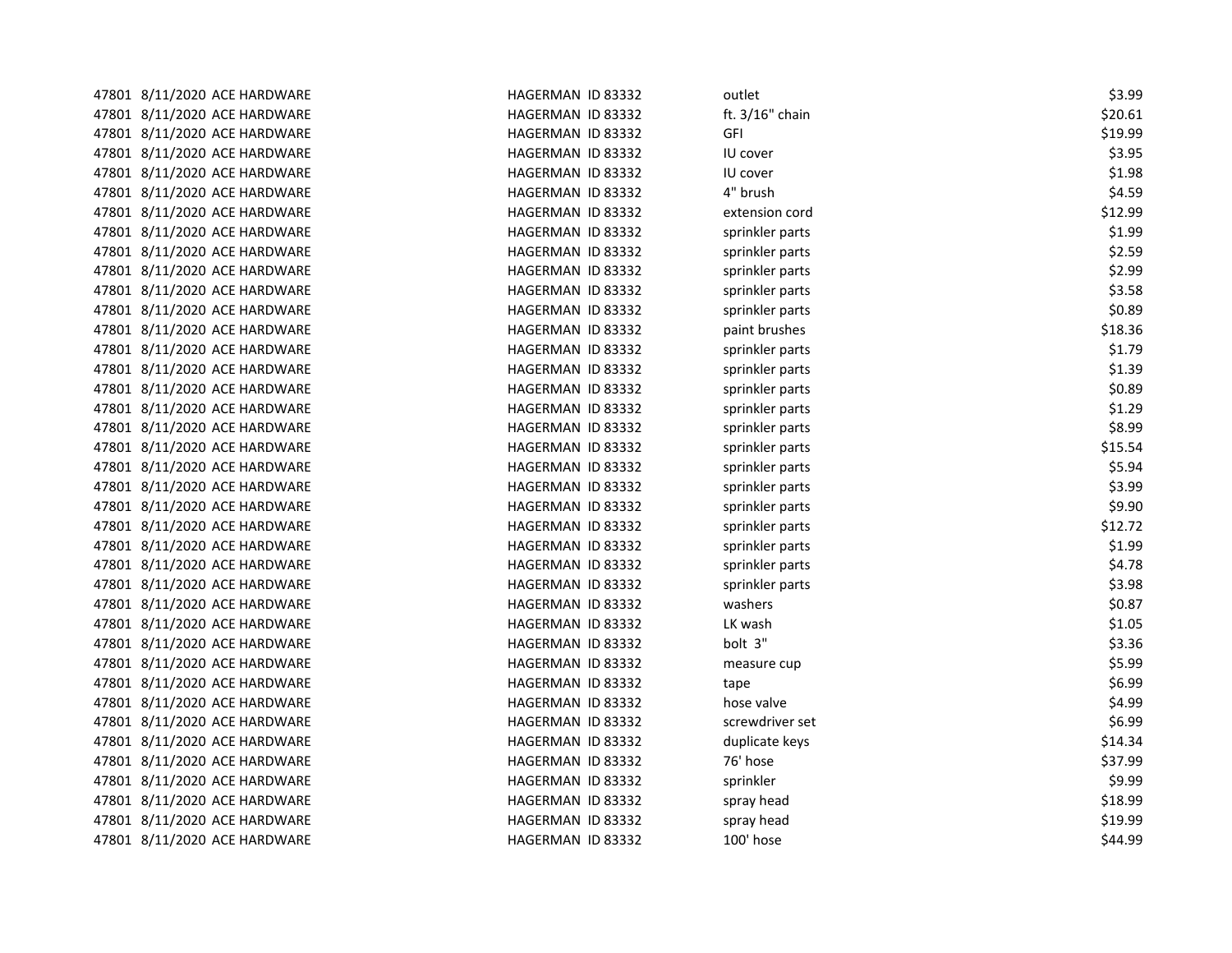| 47801 8/11/2020 ACE HARDWARE | HAGERMAN ID 83332 | outlet          | \$3.99  |
|------------------------------|-------------------|-----------------|---------|
| 47801 8/11/2020 ACE HARDWARE | HAGERMAN ID 83332 | ft. 3/16" chain | \$20.61 |
| 47801 8/11/2020 ACE HARDWARE | HAGERMAN ID 83332 | GFI             | \$19.99 |
| 47801 8/11/2020 ACE HARDWARE | HAGERMAN ID 83332 | IU cover        | \$3.95  |
| 47801 8/11/2020 ACE HARDWARE | HAGERMAN ID 83332 | IU cover        | \$1.98  |
| 47801 8/11/2020 ACE HARDWARE | HAGERMAN ID 83332 | 4" brush        | \$4.59  |
| 47801 8/11/2020 ACE HARDWARE | HAGERMAN ID 83332 | extension cord  | \$12.99 |
| 47801 8/11/2020 ACE HARDWARE | HAGERMAN ID 83332 | sprinkler parts | \$1.99  |
| 47801 8/11/2020 ACE HARDWARE | HAGERMAN ID 83332 | sprinkler parts | \$2.59  |
| 47801 8/11/2020 ACE HARDWARE | HAGERMAN ID 83332 | sprinkler parts | \$2.99  |
| 47801 8/11/2020 ACE HARDWARE | HAGERMAN ID 83332 | sprinkler parts | \$3.58  |
| 47801 8/11/2020 ACE HARDWARE | HAGERMAN ID 83332 | sprinkler parts | \$0.89  |
| 47801 8/11/2020 ACE HARDWARE | HAGERMAN ID 83332 | paint brushes   | \$18.36 |
| 47801 8/11/2020 ACE HARDWARE | HAGERMAN ID 83332 | sprinkler parts | \$1.79  |
| 47801 8/11/2020 ACE HARDWARE | HAGERMAN ID 83332 | sprinkler parts | \$1.39  |
| 47801 8/11/2020 ACE HARDWARE | HAGERMAN ID 83332 | sprinkler parts | \$0.89  |
| 47801 8/11/2020 ACE HARDWARE | HAGERMAN ID 83332 | sprinkler parts | \$1.29  |
| 47801 8/11/2020 ACE HARDWARE | HAGERMAN ID 83332 | sprinkler parts | \$8.99  |
| 47801 8/11/2020 ACE HARDWARE | HAGERMAN ID 83332 | sprinkler parts | \$15.54 |
| 47801 8/11/2020 ACE HARDWARE | HAGERMAN ID 83332 | sprinkler parts | \$5.94  |
| 47801 8/11/2020 ACE HARDWARE | HAGERMAN ID 83332 | sprinkler parts | \$3.99  |
| 47801 8/11/2020 ACE HARDWARE | HAGERMAN ID 83332 | sprinkler parts | \$9.90  |
| 47801 8/11/2020 ACE HARDWARE | HAGERMAN ID 83332 | sprinkler parts | \$12.72 |
| 47801 8/11/2020 ACE HARDWARE | HAGERMAN ID 83332 | sprinkler parts | \$1.99  |
| 47801 8/11/2020 ACE HARDWARE | HAGERMAN ID 83332 | sprinkler parts | \$4.78  |
| 47801 8/11/2020 ACE HARDWARE | HAGERMAN ID 83332 | sprinkler parts | \$3.98  |
| 47801 8/11/2020 ACE HARDWARE | HAGERMAN ID 83332 | washers         | \$0.87  |
| 47801 8/11/2020 ACE HARDWARE | HAGERMAN ID 83332 | LK wash         | \$1.05  |
| 47801 8/11/2020 ACE HARDWARE | HAGERMAN ID 83332 | bolt 3"         | \$3.36  |
| 47801 8/11/2020 ACE HARDWARE | HAGERMAN ID 83332 | measure cup     | \$5.99  |
| 47801 8/11/2020 ACE HARDWARE | HAGERMAN ID 83332 | tape            | \$6.99  |
| 47801 8/11/2020 ACE HARDWARE | HAGERMAN ID 83332 | hose valve      | \$4.99  |
| 47801 8/11/2020 ACE HARDWARE | HAGERMAN ID 83332 | screwdriver set | \$6.99  |
| 47801 8/11/2020 ACE HARDWARE | HAGERMAN ID 83332 | duplicate keys  | \$14.34 |
| 47801 8/11/2020 ACE HARDWARE | HAGERMAN ID 83332 | 76' hose        | \$37.99 |
| 47801 8/11/2020 ACE HARDWARE | HAGERMAN ID 83332 | sprinkler       | \$9.99  |
| 47801 8/11/2020 ACE HARDWARE | HAGERMAN ID 83332 | spray head      | \$18.99 |
| 47801 8/11/2020 ACE HARDWARE | HAGERMAN ID 83332 | spray head      | \$19.99 |
| 47801 8/11/2020 ACE HARDWARE | HAGERMAN ID 83332 | 100' hose       | \$44.99 |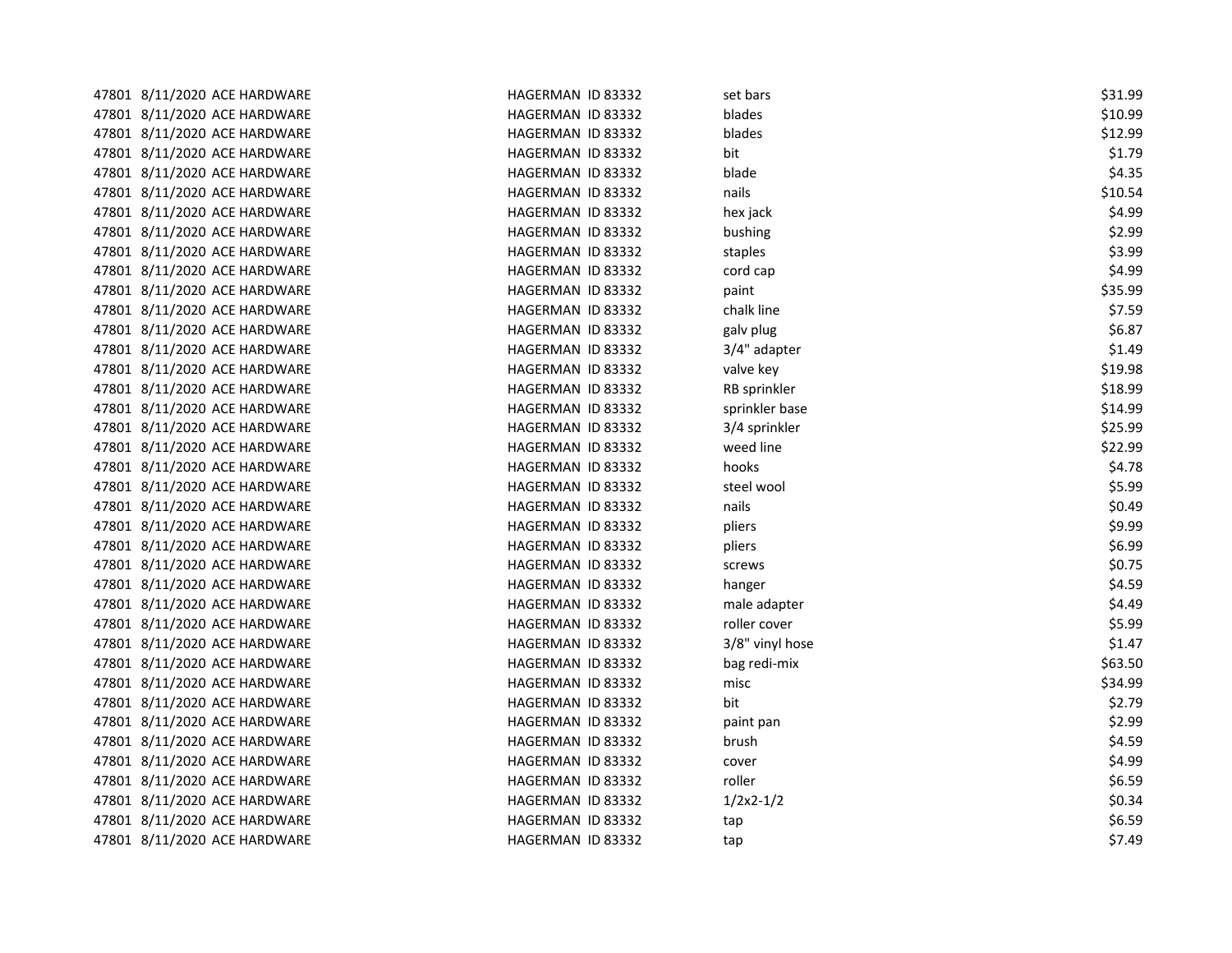| 47801 8/11/2020 ACE HARDWARE | HAGERMAN ID 83332 | set bars        | \$31.99 |
|------------------------------|-------------------|-----------------|---------|
| 47801 8/11/2020 ACE HARDWARE | HAGERMAN ID 83332 | blades          | \$10.99 |
| 47801 8/11/2020 ACE HARDWARE | HAGERMAN ID 83332 | blades          | \$12.99 |
| 47801 8/11/2020 ACE HARDWARE | HAGERMAN ID 83332 | bit             | \$1.79  |
| 47801 8/11/2020 ACE HARDWARE | HAGERMAN ID 83332 | blade           | \$4.35  |
| 47801 8/11/2020 ACE HARDWARE | HAGERMAN ID 83332 | nails           | \$10.54 |
| 47801 8/11/2020 ACE HARDWARE | HAGERMAN ID 83332 | hex jack        | \$4.99  |
| 47801 8/11/2020 ACE HARDWARE | HAGERMAN ID 83332 | bushing         | \$2.99  |
| 47801 8/11/2020 ACE HARDWARE | HAGERMAN ID 83332 | staples         | \$3.99  |
| 47801 8/11/2020 ACE HARDWARE | HAGERMAN ID 83332 | cord cap        | \$4.99  |
| 47801 8/11/2020 ACE HARDWARE | HAGERMAN ID 83332 | paint           | \$35.99 |
| 47801 8/11/2020 ACE HARDWARE | HAGERMAN ID 83332 | chalk line      | \$7.59  |
| 47801 8/11/2020 ACE HARDWARE | HAGERMAN ID 83332 | galv plug       | \$6.87  |
| 47801 8/11/2020 ACE HARDWARE | HAGERMAN ID 83332 | 3/4" adapter    | \$1.49  |
| 47801 8/11/2020 ACE HARDWARE | HAGERMAN ID 83332 | valve key       | \$19.98 |
| 47801 8/11/2020 ACE HARDWARE | HAGERMAN ID 83332 | RB sprinkler    | \$18.99 |
| 47801 8/11/2020 ACE HARDWARE | HAGERMAN ID 83332 | sprinkler base  | \$14.99 |
| 47801 8/11/2020 ACE HARDWARE | HAGERMAN ID 83332 | 3/4 sprinkler   | \$25.99 |
| 47801 8/11/2020 ACE HARDWARE | HAGERMAN ID 83332 | weed line       | \$22.99 |
| 47801 8/11/2020 ACE HARDWARE | HAGERMAN ID 83332 | hooks           | \$4.78  |
| 47801 8/11/2020 ACE HARDWARE | HAGERMAN ID 83332 | steel wool      | \$5.99  |
| 47801 8/11/2020 ACE HARDWARE | HAGERMAN ID 83332 | nails           | \$0.49  |
| 47801 8/11/2020 ACE HARDWARE | HAGERMAN ID 83332 | pliers          | \$9.99  |
| 47801 8/11/2020 ACE HARDWARE | HAGERMAN ID 83332 | pliers          | \$6.99  |
| 47801 8/11/2020 ACE HARDWARE | HAGERMAN ID 83332 | screws          | \$0.75  |
| 47801 8/11/2020 ACE HARDWARE | HAGERMAN ID 83332 | hanger          | \$4.59  |
| 47801 8/11/2020 ACE HARDWARE | HAGERMAN ID 83332 | male adapter    | \$4.49  |
| 47801 8/11/2020 ACE HARDWARE | HAGERMAN ID 83332 | roller cover    | \$5.99  |
| 47801 8/11/2020 ACE HARDWARE | HAGERMAN ID 83332 | 3/8" vinyl hose | \$1.47  |
| 47801 8/11/2020 ACE HARDWARE | HAGERMAN ID 83332 | bag redi-mix    | \$63.50 |
| 47801 8/11/2020 ACE HARDWARE | HAGERMAN ID 83332 | misc            | \$34.99 |
| 47801 8/11/2020 ACE HARDWARE | HAGERMAN ID 83332 | bit             | \$2.79  |
| 47801 8/11/2020 ACE HARDWARE | HAGERMAN ID 83332 | paint pan       | \$2.99  |
| 47801 8/11/2020 ACE HARDWARE | HAGERMAN ID 83332 | brush           | \$4.59  |
| 47801 8/11/2020 ACE HARDWARE | HAGERMAN ID 83332 | cover           | \$4.99  |
| 47801 8/11/2020 ACE HARDWARE | HAGERMAN ID 83332 | roller          | \$6.59  |
| 47801 8/11/2020 ACE HARDWARE | HAGERMAN ID 83332 | $1/2x^2-1/2$    | \$0.34  |
| 47801 8/11/2020 ACE HARDWARE | HAGERMAN ID 83332 | tap             | \$6.59  |
| 47801 8/11/2020 ACE HARDWARE | HAGERMAN ID 83332 | tap             | \$7.49  |
|                              |                   |                 |         |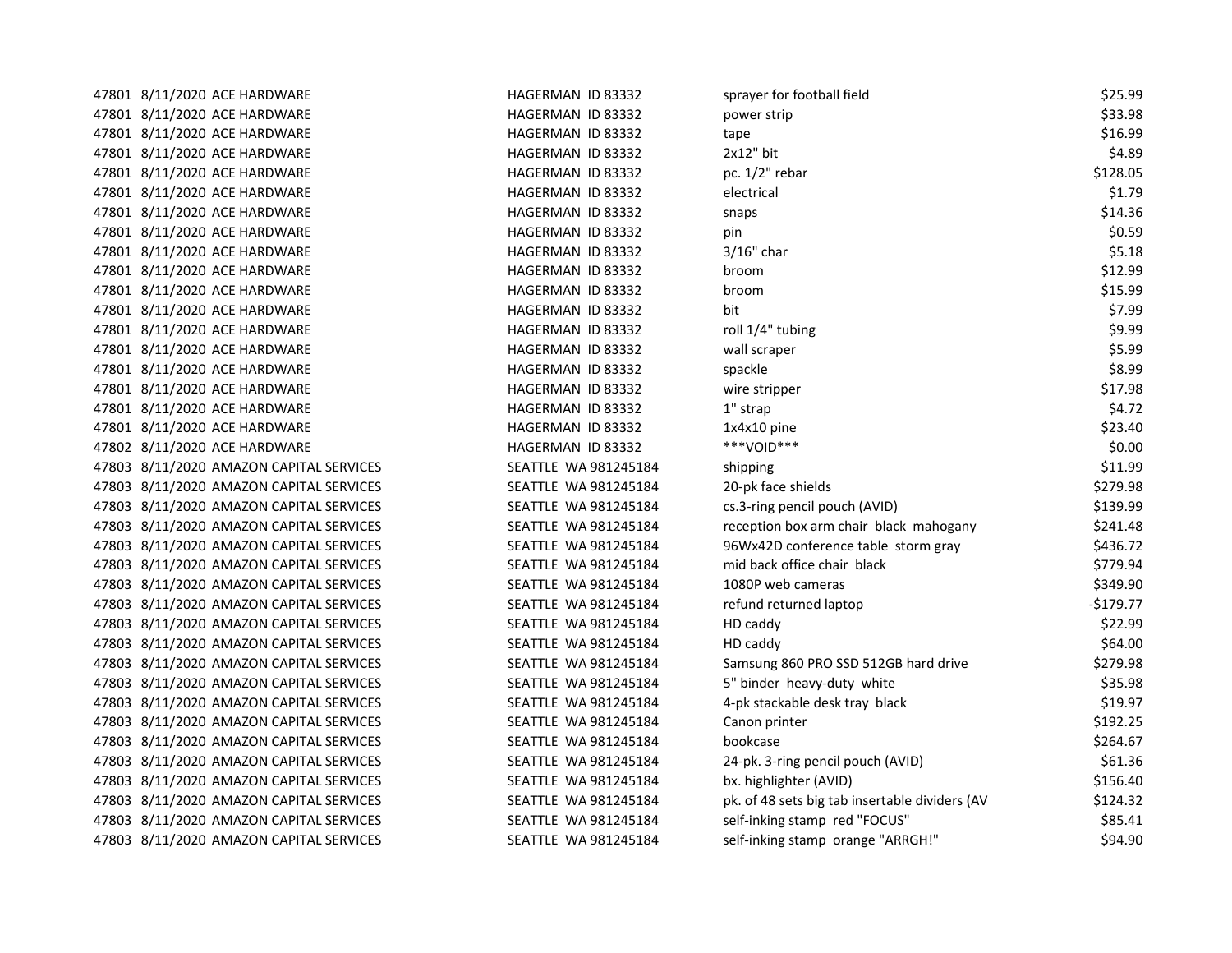| 47801 8/11/2020 ACE HARDWARE            | HAGERMAN ID 83332    | sprayer for football field                     | \$25.99    |
|-----------------------------------------|----------------------|------------------------------------------------|------------|
| 47801 8/11/2020 ACE HARDWARE            | HAGERMAN ID 83332    | power strip                                    | \$33.98    |
| 47801 8/11/2020 ACE HARDWARE            | HAGERMAN ID 83332    | tape                                           | \$16.99    |
| 47801 8/11/2020 ACE HARDWARE            | HAGERMAN ID 83332    | $2x12"$ bit                                    | \$4.89     |
| 47801 8/11/2020 ACE HARDWARE            | HAGERMAN ID 83332    | pc. 1/2" rebar                                 | \$128.05   |
| 47801 8/11/2020 ACE HARDWARE            | HAGERMAN ID 83332    | electrical                                     | \$1.79     |
| 47801 8/11/2020 ACE HARDWARE            | HAGERMAN ID 83332    | snaps                                          | \$14.36    |
| 47801 8/11/2020 ACE HARDWARE            | HAGERMAN ID 83332    | pin                                            | \$0.59     |
| 47801 8/11/2020 ACE HARDWARE            | HAGERMAN ID 83332    | $3/16"$ char                                   | \$5.18     |
| 47801 8/11/2020 ACE HARDWARE            | HAGERMAN ID 83332    | broom                                          | \$12.99    |
| 47801 8/11/2020 ACE HARDWARE            | HAGERMAN ID 83332    | broom                                          | \$15.99    |
| 47801 8/11/2020 ACE HARDWARE            | HAGERMAN ID 83332    | bit                                            | \$7.99     |
| 47801 8/11/2020 ACE HARDWARE            | HAGERMAN ID 83332    | roll 1/4" tubing                               | \$9.99     |
| 47801 8/11/2020 ACE HARDWARE            | HAGERMAN ID 83332    | wall scraper                                   | \$5.99     |
| 47801 8/11/2020 ACE HARDWARE            | HAGERMAN ID 83332    | spackle                                        | \$8.99     |
| 47801 8/11/2020 ACE HARDWARE            | HAGERMAN ID 83332    | wire stripper                                  | \$17.98    |
| 47801 8/11/2020 ACE HARDWARE            | HAGERMAN ID 83332    | 1" strap                                       | \$4.72     |
| 47801 8/11/2020 ACE HARDWARE            | HAGERMAN ID 83332    | 1x4x10 pine                                    | \$23.40    |
| 47802 8/11/2020 ACE HARDWARE            | HAGERMAN ID 83332    | ***VOID***                                     | \$0.00     |
| 47803 8/11/2020 AMAZON CAPITAL SERVICES | SEATTLE WA 981245184 | shipping                                       | \$11.99    |
| 47803 8/11/2020 AMAZON CAPITAL SERVICES | SEATTLE WA 981245184 | 20-pk face shields                             | \$279.98   |
| 47803 8/11/2020 AMAZON CAPITAL SERVICES | SEATTLE WA 981245184 | cs.3-ring pencil pouch (AVID)                  | \$139.99   |
| 47803 8/11/2020 AMAZON CAPITAL SERVICES | SEATTLE WA 981245184 | reception box arm chair black mahogany         | \$241.48   |
| 47803 8/11/2020 AMAZON CAPITAL SERVICES | SEATTLE WA 981245184 | 96Wx42D conference table storm gray            | \$436.72   |
| 47803 8/11/2020 AMAZON CAPITAL SERVICES | SEATTLE WA 981245184 | mid back office chair black                    | \$779.94   |
| 47803 8/11/2020 AMAZON CAPITAL SERVICES | SEATTLE WA 981245184 | 1080P web cameras                              | \$349.90   |
| 47803 8/11/2020 AMAZON CAPITAL SERVICES | SEATTLE WA 981245184 | refund returned laptop                         | $-$179.77$ |
| 47803 8/11/2020 AMAZON CAPITAL SERVICES | SEATTLE WA 981245184 | HD caddy                                       | \$22.99    |
| 47803 8/11/2020 AMAZON CAPITAL SERVICES | SEATTLE WA 981245184 | HD caddy                                       | \$64.00    |
| 47803 8/11/2020 AMAZON CAPITAL SERVICES | SEATTLE WA 981245184 | Samsung 860 PRO SSD 512GB hard drive           | \$279.98   |
| 47803 8/11/2020 AMAZON CAPITAL SERVICES | SEATTLE WA 981245184 | 5" binder heavy-duty white                     | \$35.98    |
| 47803 8/11/2020 AMAZON CAPITAL SERVICES | SEATTLE WA 981245184 | 4-pk stackable desk tray black                 | \$19.97    |
| 47803 8/11/2020 AMAZON CAPITAL SERVICES | SEATTLE WA 981245184 | Canon printer                                  | \$192.25   |
| 47803 8/11/2020 AMAZON CAPITAL SERVICES | SEATTLE WA 981245184 | bookcase                                       | \$264.67   |
| 47803 8/11/2020 AMAZON CAPITAL SERVICES | SEATTLE WA 981245184 | 24-pk. 3-ring pencil pouch (AVID)              | \$61.36    |
| 47803 8/11/2020 AMAZON CAPITAL SERVICES | SEATTLE WA 981245184 | bx. highlighter (AVID)                         | \$156.40   |
| 47803 8/11/2020 AMAZON CAPITAL SERVICES | SEATTLE WA 981245184 | pk. of 48 sets big tab insertable dividers (AV | \$124.32   |
| 47803 8/11/2020 AMAZON CAPITAL SERVICES | SEATTLE WA 981245184 | self-inking stamp red "FOCUS"                  | \$85.41    |
| 47803 8/11/2020 AMAZON CAPITAL SERVICES | SEATTLE WA 981245184 | self-inking stamp orange "ARRGH!"              | \$94.90    |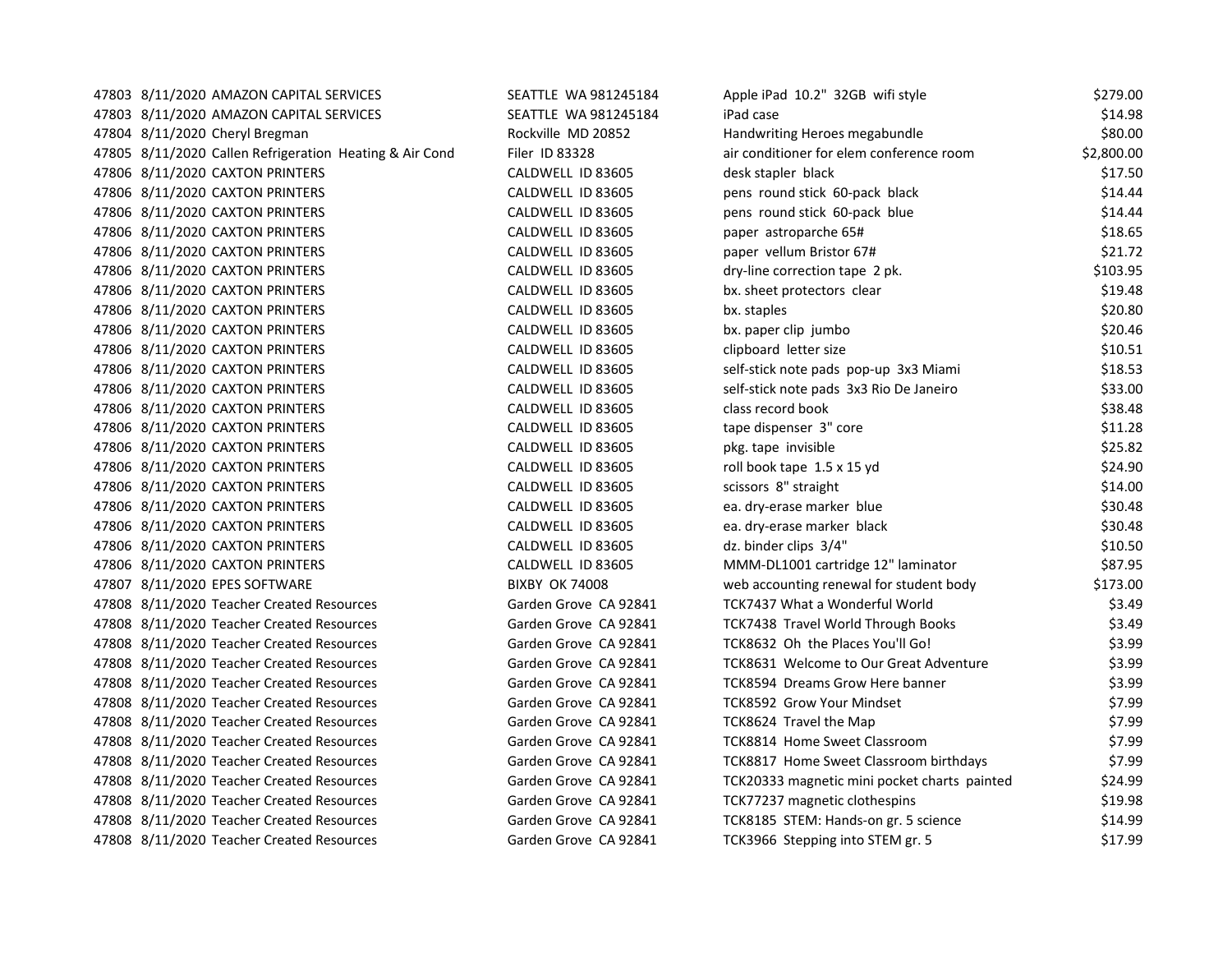| 47803 8/11/2020 AMAZON CAPITAL SERVICES                 | SEATTLE WA 981245184  | Apple iPad 10.2" 32GB wifi style             | \$279.00   |
|---------------------------------------------------------|-----------------------|----------------------------------------------|------------|
| 47803 8/11/2020 AMAZON CAPITAL SERVICES                 | SEATTLE WA 981245184  | iPad case                                    | \$14.98    |
| 47804 8/11/2020 Cheryl Bregman                          | Rockville MD 20852    | Handwriting Heroes megabundle                | \$80.00    |
| 47805 8/11/2020 Callen Refrigeration Heating & Air Cond | Filer ID 83328        | air conditioner for elem conference room     | \$2,800.00 |
| 47806 8/11/2020 CAXTON PRINTERS                         | CALDWELL ID 83605     | desk stapler black                           | \$17.50    |
| 47806 8/11/2020 CAXTON PRINTERS                         | CALDWELL ID 83605     | pens round stick 60-pack black               | \$14.44    |
| 47806 8/11/2020 CAXTON PRINTERS                         | CALDWELL ID 83605     | pens round stick 60-pack blue                | \$14.44    |
| 47806 8/11/2020 CAXTON PRINTERS                         | CALDWELL ID 83605     | paper astroparche 65#                        | \$18.65    |
| 47806 8/11/2020 CAXTON PRINTERS                         | CALDWELL ID 83605     | paper vellum Bristor 67#                     | \$21.72    |
| 47806 8/11/2020 CAXTON PRINTERS                         | CALDWELL ID 83605     | dry-line correction tape 2 pk.               | \$103.95   |
| 47806 8/11/2020 CAXTON PRINTERS                         | CALDWELL ID 83605     | bx. sheet protectors clear                   | \$19.48    |
| 47806 8/11/2020 CAXTON PRINTERS                         | CALDWELL ID 83605     | bx. staples                                  | \$20.80    |
| 47806 8/11/2020 CAXTON PRINTERS                         | CALDWELL ID 83605     | bx. paper clip jumbo                         | \$20.46    |
| 47806 8/11/2020 CAXTON PRINTERS                         | CALDWELL ID 83605     | clipboard letter size                        | \$10.51    |
| 47806 8/11/2020 CAXTON PRINTERS                         | CALDWELL ID 83605     | self-stick note pads pop-up 3x3 Miami        | \$18.53    |
| 47806 8/11/2020 CAXTON PRINTERS                         | CALDWELL ID 83605     | self-stick note pads 3x3 Rio De Janeiro      | \$33.00    |
| 47806 8/11/2020 CAXTON PRINTERS                         | CALDWELL ID 83605     | class record book                            | \$38.48    |
| 47806 8/11/2020 CAXTON PRINTERS                         | CALDWELL ID 83605     | tape dispenser 3" core                       | \$11.28    |
| 47806 8/11/2020 CAXTON PRINTERS                         | CALDWELL ID 83605     | pkg. tape invisible                          | \$25.82    |
| 47806 8/11/2020 CAXTON PRINTERS                         | CALDWELL ID 83605     | roll book tape 1.5 x 15 yd                   | \$24.90    |
| 47806 8/11/2020 CAXTON PRINTERS                         | CALDWELL ID 83605     | scissors 8" straight                         | \$14.00    |
| 47806 8/11/2020 CAXTON PRINTERS                         | CALDWELL ID 83605     | ea. dry-erase marker blue                    | \$30.48    |
| 47806 8/11/2020 CAXTON PRINTERS                         | CALDWELL ID 83605     | ea. dry-erase marker black                   | \$30.48    |
| 47806 8/11/2020 CAXTON PRINTERS                         | CALDWELL ID 83605     | dz. binder clips 3/4"                        | \$10.50    |
| 47806 8/11/2020 CAXTON PRINTERS                         | CALDWELL ID 83605     | MMM-DL1001 cartridge 12" laminator           | \$87.95    |
| 47807 8/11/2020 EPES SOFTWARE                           | <b>BIXBY OK 74008</b> | web accounting renewal for student body      | \$173.00   |
| 47808 8/11/2020 Teacher Created Resources               | Garden Grove CA 92841 | TCK7437 What a Wonderful World               | \$3.49     |
| 47808 8/11/2020 Teacher Created Resources               | Garden Grove CA 92841 | <b>TCK7438 Travel World Through Books</b>    | \$3.49     |
| 47808 8/11/2020 Teacher Created Resources               | Garden Grove CA 92841 | TCK8632 Oh the Places You'll Go!             | \$3.99     |
| 47808 8/11/2020 Teacher Created Resources               | Garden Grove CA 92841 | TCK8631 Welcome to Our Great Adventure       | \$3.99     |
| 47808 8/11/2020 Teacher Created Resources               | Garden Grove CA 92841 | TCK8594 Dreams Grow Here banner              | \$3.99     |
| 47808 8/11/2020 Teacher Created Resources               | Garden Grove CA 92841 | TCK8592 Grow Your Mindset                    | \$7.99     |
| 47808 8/11/2020 Teacher Created Resources               | Garden Grove CA 92841 | TCK8624 Travel the Map                       | \$7.99     |
| 47808 8/11/2020 Teacher Created Resources               | Garden Grove CA 92841 | TCK8814 Home Sweet Classroom                 | \$7.99     |
| 47808 8/11/2020 Teacher Created Resources               | Garden Grove CA 92841 | TCK8817 Home Sweet Classroom birthdays       | \$7.99     |
| 47808 8/11/2020 Teacher Created Resources               | Garden Grove CA 92841 | TCK20333 magnetic mini pocket charts painted | \$24.99    |
| 47808 8/11/2020 Teacher Created Resources               | Garden Grove CA 92841 | TCK77237 magnetic clothespins                | \$19.98    |
| 47808 8/11/2020 Teacher Created Resources               | Garden Grove CA 92841 | TCK8185 STEM: Hands-on gr. 5 science         | \$14.99    |
| 47808 8/11/2020 Teacher Created Resources               | Garden Grove CA 92841 | TCK3966 Stepping into STEM gr. 5             | \$17.99    |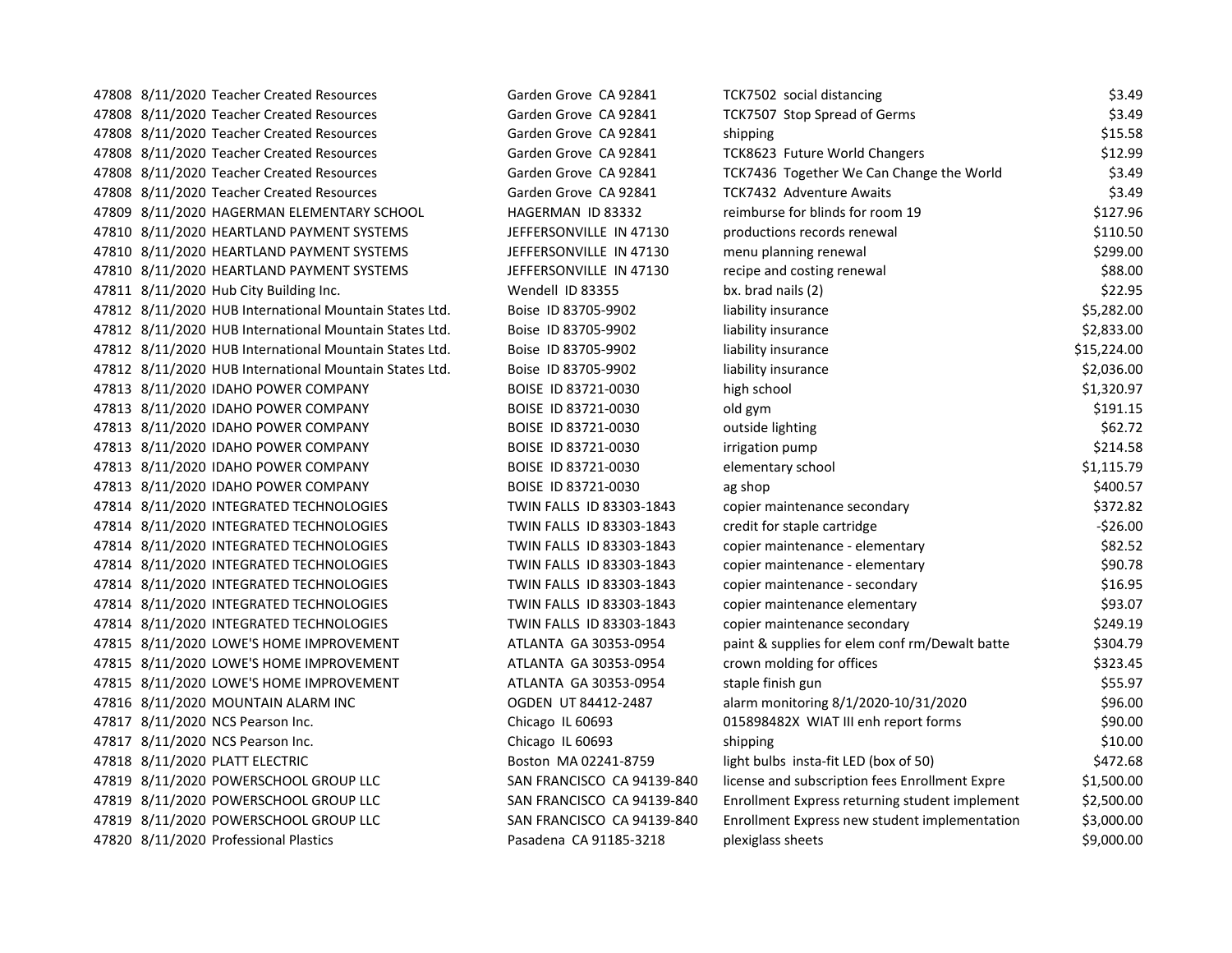47808 8/11/2020 Teacher Created Resources Garden Grove CA 92841 T 47808 8/11/2020 Teacher Created Resources Garden Grove CA 92841 T 47808 8/11/2020 Teacher Created Resources Garden Grove CA 92841 shipping \$15.588 47808 8/11/2020 Teacher Created Resources Garden Grove CA 92841 T 47808 8/11/2020 Teacher Created Resources Garden Grove CA 92841 Together We Can Change the Most Together We Can Change the Most S 47808 8/11/2020 Teacher Created Resources Garden Grove CA 92841 TC 47809 8/11/2020 HAGERMAN ELEMENTARY SCHOOL HAGERMAN ID 83332 reimburse for blinds for room 19 \$127.96 47810 8/11/2020 HEARTLAND PAYMENT SYSTEMS FOR THEFERSONVILLE IN 47130 productions results resources results re 47810 8/11/2020 HEARTLAND PAYMENT SYSTEMS JEFFERSONVILLE IN 47130 menu planning renewal bland. 47810 8/11/2020 HEARTLAND PAYMENT SYSTEMS JEFFERSONVILLE IN 47130 re 47811 8/11/2020 Hub City Building Inc. Wendell ID 83355 by. brad nails (2011) 47812 8/11/2020 HUB International Mountain States Ltd. Boise ID 83705-9902 47812 8/11/2020 HUB International Mountain States Ltd. Boise ID 83705-9902 47812 8/11/2020 HUB International Mountain States Ltd. Boise ID 83705-9902 47812 8/11/2020 HUB International Mountain States Ltd. Boise ID 83705-9902 47813 8/11/2020 IDAHO POWER COMPANY BOISE ID 83721-0030 http:// 47813 8/11/2020 IDAHO POWER COMPANY BOISE ID 83721-0030 old gym \$191.15 47813 8/11/2020 IDAHO POWER COMPANY BOISE ID 83721-0030 or 47813 8/11/2020 IDAHO POWER COMPANY BOISE ID 83721-0030 irrigation pump \$214.58 47813 8/11/2020 IDAHO POWER COMPANY BOISE ID 83721-0030 e 47813 8/11/2020 IDAHO POWER COMPANY BOISE ID 83721-0030 ag shop and the shop shop shop shop shop shop shop sho 47814 8/11/2020 INTEGRATED TECHNOLOGIES TWIN FALLS ID 83303-1843 co 47814 8/11/2020 INTEGRATED TECHNOLOGIES TWIN FALLS ID 83303-1843 cr 47814 8/11/2020 INTEGRATED TECHNOLOGIES TWIN FALLS ID 83303-1843 comparent 47814 8/11/2020 INTEGRATED TECHNOLOGIES TWIN FALLS ID 83303-1843 co 47814 8/11/2020 INTEGRATED TECHNOLOGIES TWIN FALLS ID 83303-1843 co 47814 8/11/2020 INTEGRATED TECHNOLOGIES TWIN FALLS ID 83303-1843 co 47814 8/11/2020 INTEGRATED TECHNOLOGIES TWIN FALLS ID 83303-1843 comprehensive secondary secondary secondary secondary secondary secondary secondary secondary secondary secondary secondary secondary secondary secondary sec 47815 8/11/2020 LOWE'S HOME IMPROVEMENT ATLANTA GA 30353-0954 paint batter in the supplies for elem conf rm an 47815 8/11/2020 LOWE'S HOME IMPROVEMENT ATLANTA GA 30353-0954 crown molding for original for original for original for  $\alpha$ 47815 8/11/2020 LOWE'S HOME IMPROVEMENT ATLANTA GA 30353-0954 st 47816 8/11/2020 MOUNTAIN ALARM INC OGDEN UT 84412-2487 alarm monitoring 8/1/2020-10/31/2020 \$96.00 47817 8/11/2020 NCS Pearson Inc. Chicago IL 60693 0015898482 47817 8/11/2020 NCS Pearson Inc. Chicago IL 60693 47818 8/11/2020 PLATT ELECTRIC **Research Bulber Boston MA 02241-8759** light bulbs in 47819 8/11/2020 POWERSCHOOL GROUP LLC SAN FRANCISCO CA 94139-840 47819 8/11/2020 POWERSCHOOL GROUP LLC SAN FRANCISCO CA 94139-840 E 47819 8/11/2020 POWERSCHOOL GROUP LLC SAN FRANCISCO CA 94139-840 E 47820 8/11/2020 Professional Plastics **Pasadena CA 91185-3218** plexical please sheets in please sheets in please sheets in please sheets in please sheets in please sheets in please sheets in please sheets in please sheets

| CK7502 social distancing                       | \$3.49      |
|------------------------------------------------|-------------|
| <b>CK7507 Stop Spread of Germs</b>             | \$3.49      |
| hipping                                        | \$15.58     |
| <b>CK8623 Future World Changers</b>            | \$12.99     |
| <b>CK7436 Together We Can Change the World</b> | \$3.49      |
| <b>CK7432 Adventure Awaits</b>                 | \$3.49      |
| eimburse for blinds for room 19                | \$127.96    |
| productions records renewal                    | \$110.50    |
| nenu planning renewal                          | \$299.00    |
| ecipe and costing renewal                      | \$88.00     |
| ox. brad nails (2)                             | \$22.95     |
| iability insurance                             | \$5,282.00  |
| iability insurance                             | \$2,833.00  |
| iability insurance                             | \$15,224.00 |
| iability insurance                             | \$2,036.00  |
| ligh school                                    | \$1,320.97  |
| old gym                                        | \$191.15    |
| outside lighting                               | \$62.72     |
| rrigation pump                                 | \$214.58    |
| elementary school                              | \$1,115.79  |
| g shop                                         | \$400.57    |
| copier maintenance secondary                   | \$372.82    |
| redit for staple cartridge                     | $-526.00$   |
| copier maintenance - elementary                | \$82.52     |
| copier maintenance - elementary                | \$90.78     |
| copier maintenance - secondary                 | \$16.95     |
| copier maintenance elementary                  | \$93.07     |
| copier maintenance secondary                   | \$249.19    |
| baint & supplies for elem conf rm/Dewalt batte | \$304.79    |
| rown molding for offices                       | \$323.45    |
| taple finish gun                               | \$55.97     |
| Ilarm monitoring 8/1/2020-10/31/2020           | \$96.00     |
| 15898482X WIAT III enh report forms            | \$90.00     |
| hipping                                        | \$10.00     |
| ight bulbs insta-fit LED (box of 50)           | \$472.68    |
| icense and subscription fees Enrollment Expre  | \$1,500.00  |
| Inrollment Express returning student implement | \$2,500.00  |
| Inrollment Express new student implementation  | \$3,000.00  |
| blexiglass sheets                              | \$9,000.00  |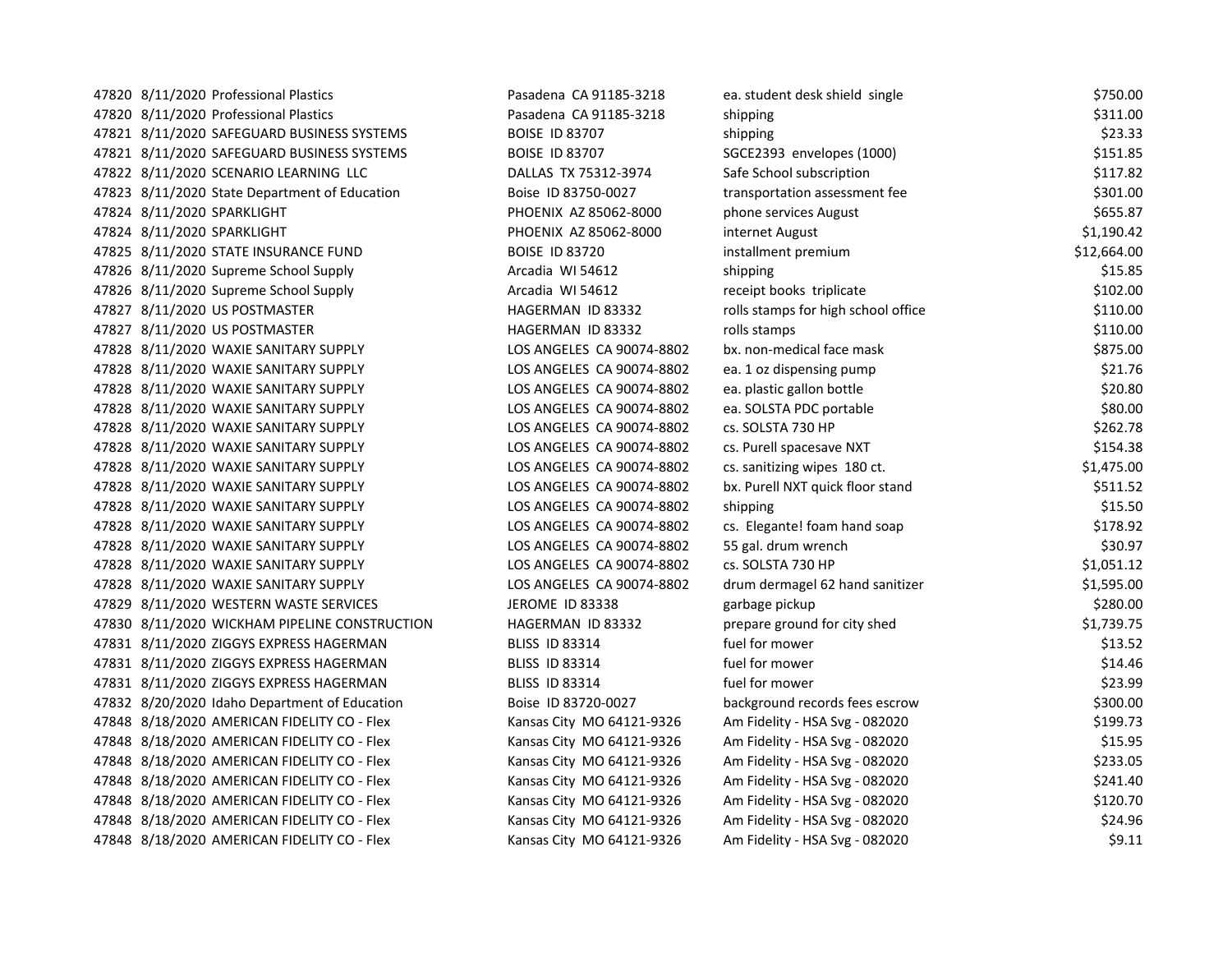47820 8/11/2020 Professional Plastics **Pasadena CA 91185-3218** e. 47820 8/11/2020 Professional Plastics **Pasadena CA 91185-3218** shipping \$31.000 shipping \$31.000 shipping \$31.000 shipping \$31.000 shipping \$31.000 shipping \$41.000 shipping \$41.000 shipping \$41.000 shipping \$41.000 shippi 47821 8/11/2020 SAFEGUARD BUSINESS SYSTEMS BOISE ID 83707 Shipping \$33.3334 47821 8/11/2020 SAFEGUARD BUSINESS SYSTEMS BOISE ID 83707 SGC 47822 8/11/2020 SCENARIO LEARNING LLC DALLAS TX 75312-3974 Safe School subscription \$117.82 47823 8/11/2020 State Department of Education Boise ID 83750-0027 transportation assessment for 47824 8/11/2020 SPARKLIGHT PHOENIX AZ 85062-8000 phone services and services and services and services and ser 47824 8/11/2020 SPARKLIGHT **PHOENIX AZ 85062-8000** in 47825 8/11/2020 STATE INSURANCE FUND BOISE ID 83720 in 47826 8/11/2020 Supreme School Supply **Arcadia WI 54612** shipping \$15.855.855.855.855.855.855.855.85 47826 8/11/2020 Supreme School Supply Arcadia WI 54612 recently books to the state and the state and the state  $\frac{1}{2}$ 47827 8/11/2020 US POSTMASTER **HAGERMAN ID 83332** rolls stamps for the high school of the high school of the high school of the high school of the high school of the high school of the high school of the high school of the 47827 8/11/2020 US POSTMASTER **HAGERMAN ID 83332** rolls stamps \$110.000 rolls stamps \$110.000 rolls stamps \$110.0000 rolls stamps \$110.000 rolls and \$110.000 rolls and \$110.000 rolls and \$110.000 rolls and \$110.000 rolls a 47828 8/11/2020 WAXIE SANITARY SUPPLY LOS ANGELES CA 90074-8802 b 47828 8/11/2020 WAXIE SANITARY SUPPLY LOS ANGELES CA 90074-8802 ea. 47828 8/11/2020 WAXIE SANITARY SUPPLY LOS ANGELES CA 90074-8802 ea. 47828 8/11/2020 WAXIE SANITARY SUPPLY LOS ANGELES CA 90074-8802 ea. 47828 8/11/2020 WAXIE SANITARY SUPPLY LOS ANGELES CA 90074-8802 cs 47828 8/11/2020 WAXIE SANITARY SUPPLY LOS ANGELES CA 90074-8802 cs 47828 8/11/2020 WAXIE SANITARY SUPPLY LOS ANGELES CA 90074-8802 cs. sanitizing wipes 180 ct. \$1,475.00 47828 8/11/2020 WAXIE SANITARY SUPPLY LOS ANGELES CA 90074-8802 b 47828 8/11/2020 WAXIE SANITARY SUPPLY LOS ANGELES CA 90074-8802 sh 47828 8/11/2020 WAXIE SANITARY SUPPLY LOS ANGELES CA 90074-8802 cs 47828 8/11/2020 WAXIE SANITARY SUPPLY LOS ANGELES CA 90074-8802 5 47828 8/11/2020 WAXIE SANITARY SUPPLY LOS ANGELES CA 90074-8802 cs 47828 8/11/2020 WAXIE SANITARY SUPPLY LOS ANGELES CA 90074-8802 drum dermagel 62 drum dermagel 62 hand sanitiz 47829 8/11/2020 WESTERN WASTE SERVICES JEROME ID 83338 gg 47830 8/11/2020 WICKHAM PIPELINE CONSTRUCTION HAGERMAN ID 83332 prepare ground for city shed shed shed shed sh 47831 8/11/2020 ZIGGYS EXPRESS HAGERMAN BLISS ID 83314 Fuel for movies and movies for movies and movies for mo 47831 8/11/2020 ZIGGYS EXPRESS HAGERMAN BLISS ID 83314 **fuel for mover and move fuel for mover** fuel fuel for mo 47831 8/11/2020 ZIGGYS EXPRESS HAGERMAN BLISS ID 83314 **fuel for mover and move fuel for mover** fuel fuel for mo 47832 8/20/2020 Idaho Department of Education Boise ID 83720-0027 background background records feed and records feed and records feed and records feed and records feed and records feed and records feed and records feed an 47848 8/18/2020 AMERICAN FIDELITY CO - Flex Kansas City MO 64121-9326 Am 47848 8/18/2020 AMERICAN FIDELITY CO - Flex Kansas City MO 64121-9326 Am File 47848 8/18/2020 AMERICAN FIDELITY CO - Flex Kansas City MO 64121-9326 Am File 47848 8/18/2020 AMERICAN FIDELITY CO - Flex Kansas City MO 64121-9326 Am Fidelity - Am Figure - 0820 47848 8/18/2020 AMERICAN FIDELITY CO - Flex Kansas City MO 64121-9326 Am File 47848 8/18/2020 AMERICAN FIDELITY CO - Flex Kansas City MO 64121-9326 Am 47848 8/18/2020 AMERICAN FIDELITY CO - Flex Kansas City MO 64121-9326 Am File

| a. student desk shield single      | \$750.00    |
|------------------------------------|-------------|
| hipping                            | \$311.00    |
| hipping                            | \$23.33     |
| GCE2393 envelopes (1000)           | \$151.85    |
| afe School subscription            | \$117.82    |
| ransportation assessment fee       | \$301.00    |
| hone services August               | \$655.87    |
| nternet August                     | \$1,190.42  |
| nstallment premium                 | \$12,664.00 |
| hipping                            | \$15.85     |
| eceipt books triplicate            | \$102.00    |
| olls stamps for high school office | \$110.00    |
| olls stamps                        | \$110.00    |
| x. non-medical face mask           | \$875.00    |
| a. 1 oz dispensing pump            | \$21.76     |
| a. plastic gallon bottle           | \$20.80     |
| a. SOLSTA PDC portable             | \$80.00     |
| s. SOLSTA 730 HP                   | \$262.78    |
| s. Purell spacesave NXT            | \$154.38    |
| s. sanitizing wipes 180 ct.        | \$1,475.00  |
| x. Purell NXT quick floor stand    | \$511.52    |
| hipping                            | \$15.50     |
| s. Elegante! foam hand soap        | \$178.92    |
| 5 gal. drum wrench                 | \$30.97     |
| s. SOLSTA 730 HP                   | \$1,051.12  |
| rum dermagel 62 hand sanitizer     | \$1,595.00  |
| arbage pickup                      | \$280.00    |
| repare ground for city shed        | \$1,739.75  |
| uel for mower                      | \$13.52     |
| uel for mower                      | \$14.46     |
| uel for mower                      | \$23.99     |
| ackground records fees escrow      | \$300.00    |
| m Fidelity - HSA Svg - 082020      | \$199.73    |
| m Fidelity - HSA Svg - 082020      | \$15.95     |
| m Fidelity - HSA Svg - 082020      | \$233.05    |
| m Fidelity - HSA Svg - 082020      | \$241.40    |
| m Fidelity - HSA Svg - 082020      | \$120.70    |
| m Fidelity - HSA Svg - 082020      | \$24.96     |
| m Fidelity - HSA Svg - 082020      | \$9.11      |
|                                    |             |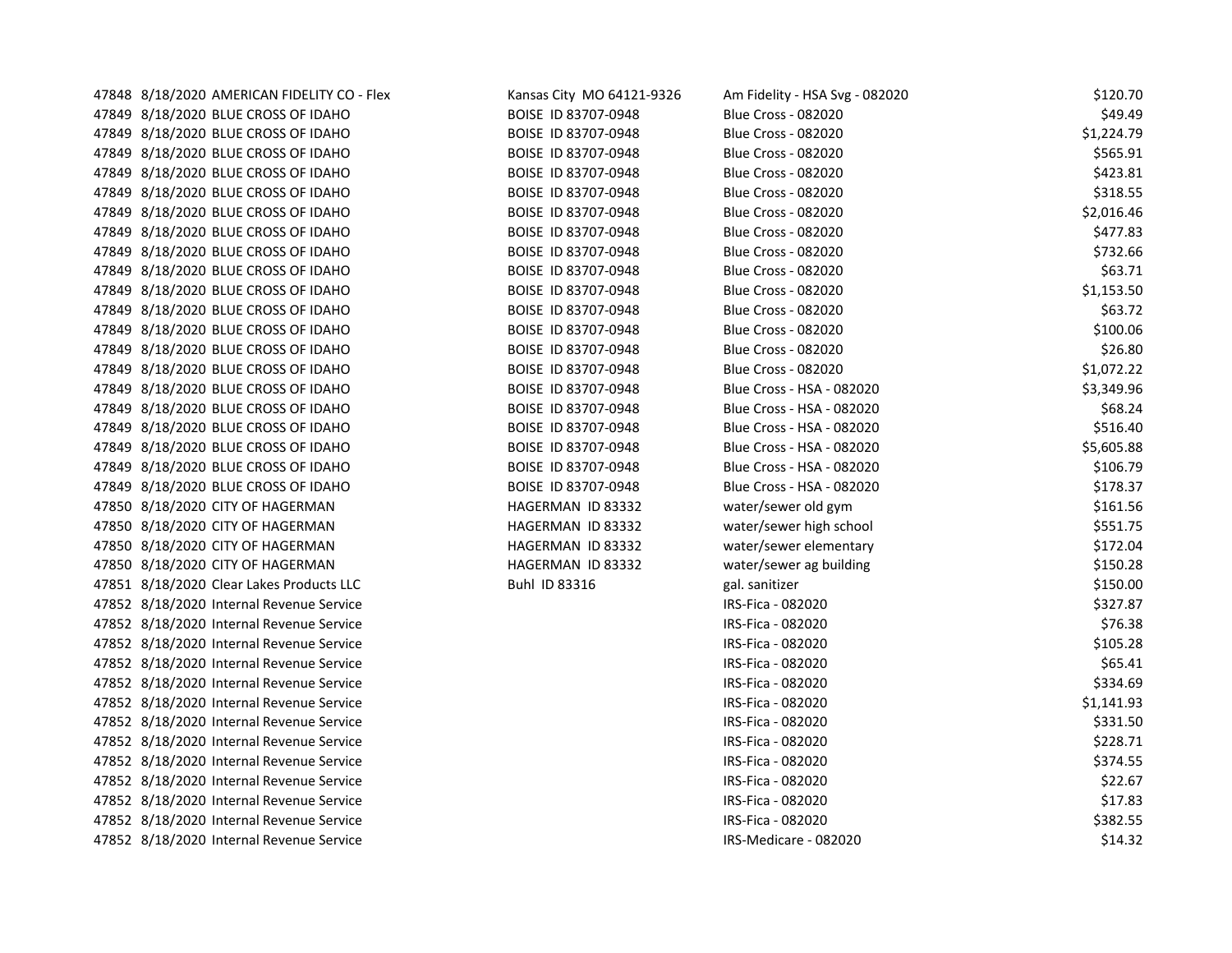| 47848 8/18/2020 AMERICAN FIDELITY CO - Flex | Kansas City MO 64121-9326 | Am Fidelity - HSA Svg - 082020 | \$120.70   |
|---------------------------------------------|---------------------------|--------------------------------|------------|
| 47849 8/18/2020 BLUE CROSS OF IDAHO         | BOISE ID 83707-0948       | <b>Blue Cross - 082020</b>     | \$49.49    |
| 47849 8/18/2020 BLUE CROSS OF IDAHO         | BOISE ID 83707-0948       | <b>Blue Cross - 082020</b>     | \$1,224.79 |
| 47849 8/18/2020 BLUE CROSS OF IDAHO         | BOISE ID 83707-0948       | <b>Blue Cross - 082020</b>     | \$565.91   |
| 47849 8/18/2020 BLUE CROSS OF IDAHO         | BOISE ID 83707-0948       | <b>Blue Cross - 082020</b>     | \$423.81   |
| 47849 8/18/2020 BLUE CROSS OF IDAHO         | BOISE ID 83707-0948       | <b>Blue Cross - 082020</b>     | \$318.55   |
| 47849 8/18/2020 BLUE CROSS OF IDAHO         | BOISE ID 83707-0948       | <b>Blue Cross - 082020</b>     | \$2,016.46 |
| 47849 8/18/2020 BLUE CROSS OF IDAHO         | BOISE ID 83707-0948       | <b>Blue Cross - 082020</b>     | \$477.83   |
| 47849 8/18/2020 BLUE CROSS OF IDAHO         | BOISE ID 83707-0948       | <b>Blue Cross - 082020</b>     | \$732.66   |
| 47849 8/18/2020 BLUE CROSS OF IDAHO         | BOISE ID 83707-0948       | <b>Blue Cross - 082020</b>     | \$63.71    |
| 47849 8/18/2020 BLUE CROSS OF IDAHO         | BOISE ID 83707-0948       | <b>Blue Cross - 082020</b>     | \$1,153.50 |
| 47849 8/18/2020 BLUE CROSS OF IDAHO         | BOISE ID 83707-0948       | <b>Blue Cross - 082020</b>     | \$63.72    |
| 47849 8/18/2020 BLUE CROSS OF IDAHO         | BOISE ID 83707-0948       | <b>Blue Cross - 082020</b>     | \$100.06   |
| 47849 8/18/2020 BLUE CROSS OF IDAHO         | BOISE ID 83707-0948       | <b>Blue Cross - 082020</b>     | \$26.80    |
| 47849 8/18/2020 BLUE CROSS OF IDAHO         | BOISE ID 83707-0948       | <b>Blue Cross - 082020</b>     | \$1,072.22 |
| 47849 8/18/2020 BLUE CROSS OF IDAHO         | BOISE ID 83707-0948       | Blue Cross - HSA - 082020      | \$3,349.96 |
| 47849 8/18/2020 BLUE CROSS OF IDAHO         | BOISE ID 83707-0948       | Blue Cross - HSA - 082020      | \$68.24    |
| 47849 8/18/2020 BLUE CROSS OF IDAHO         | BOISE ID 83707-0948       | Blue Cross - HSA - 082020      | \$516.40   |
| 47849 8/18/2020 BLUE CROSS OF IDAHO         | BOISE ID 83707-0948       | Blue Cross - HSA - 082020      | \$5,605.88 |
| 47849 8/18/2020 BLUE CROSS OF IDAHO         | BOISE ID 83707-0948       | Blue Cross - HSA - 082020      | \$106.79   |
| 47849 8/18/2020 BLUE CROSS OF IDAHO         | BOISE ID 83707-0948       | Blue Cross - HSA - 082020      | \$178.37   |
| 47850 8/18/2020 CITY OF HAGERMAN            | HAGERMAN ID 83332         | water/sewer old gym            | \$161.56   |
| 47850 8/18/2020 CITY OF HAGERMAN            | HAGERMAN ID 83332         | water/sewer high school        | \$551.75   |
| 47850 8/18/2020 CITY OF HAGERMAN            | HAGERMAN ID 83332         | water/sewer elementary         | \$172.04   |
| 47850 8/18/2020 CITY OF HAGERMAN            | HAGERMAN ID 83332         | water/sewer ag building        | \$150.28   |
| 47851 8/18/2020 Clear Lakes Products LLC    | Buhl ID 83316             | gal. sanitizer                 | \$150.00   |
| 47852 8/18/2020 Internal Revenue Service    |                           | IRS-Fica - 082020              | \$327.87   |
| 47852 8/18/2020 Internal Revenue Service    |                           | IRS-Fica - 082020              | \$76.38    |
| 47852 8/18/2020 Internal Revenue Service    |                           | IRS-Fica - 082020              | \$105.28   |
| 47852 8/18/2020 Internal Revenue Service    |                           | IRS-Fica - 082020              | \$65.41    |
| 47852 8/18/2020 Internal Revenue Service    |                           | IRS-Fica - 082020              | \$334.69   |
| 47852 8/18/2020 Internal Revenue Service    |                           | IRS-Fica - 082020              | \$1,141.93 |
| 47852 8/18/2020 Internal Revenue Service    |                           | IRS-Fica - 082020              | \$331.50   |
| 47852 8/18/2020 Internal Revenue Service    |                           | IRS-Fica - 082020              | \$228.71   |
| 47852 8/18/2020 Internal Revenue Service    |                           | IRS-Fica - 082020              | \$374.55   |
| 47852 8/18/2020 Internal Revenue Service    |                           | IRS-Fica - 082020              | \$22.67    |
| 47852 8/18/2020 Internal Revenue Service    |                           | IRS-Fica - 082020              | \$17.83    |
| 47852 8/18/2020 Internal Revenue Service    |                           | IRS-Fica - 082020              | \$382.55   |
| 47852 8/18/2020 Internal Revenue Service    |                           | IRS-Medicare - 082020          | \$14.32    |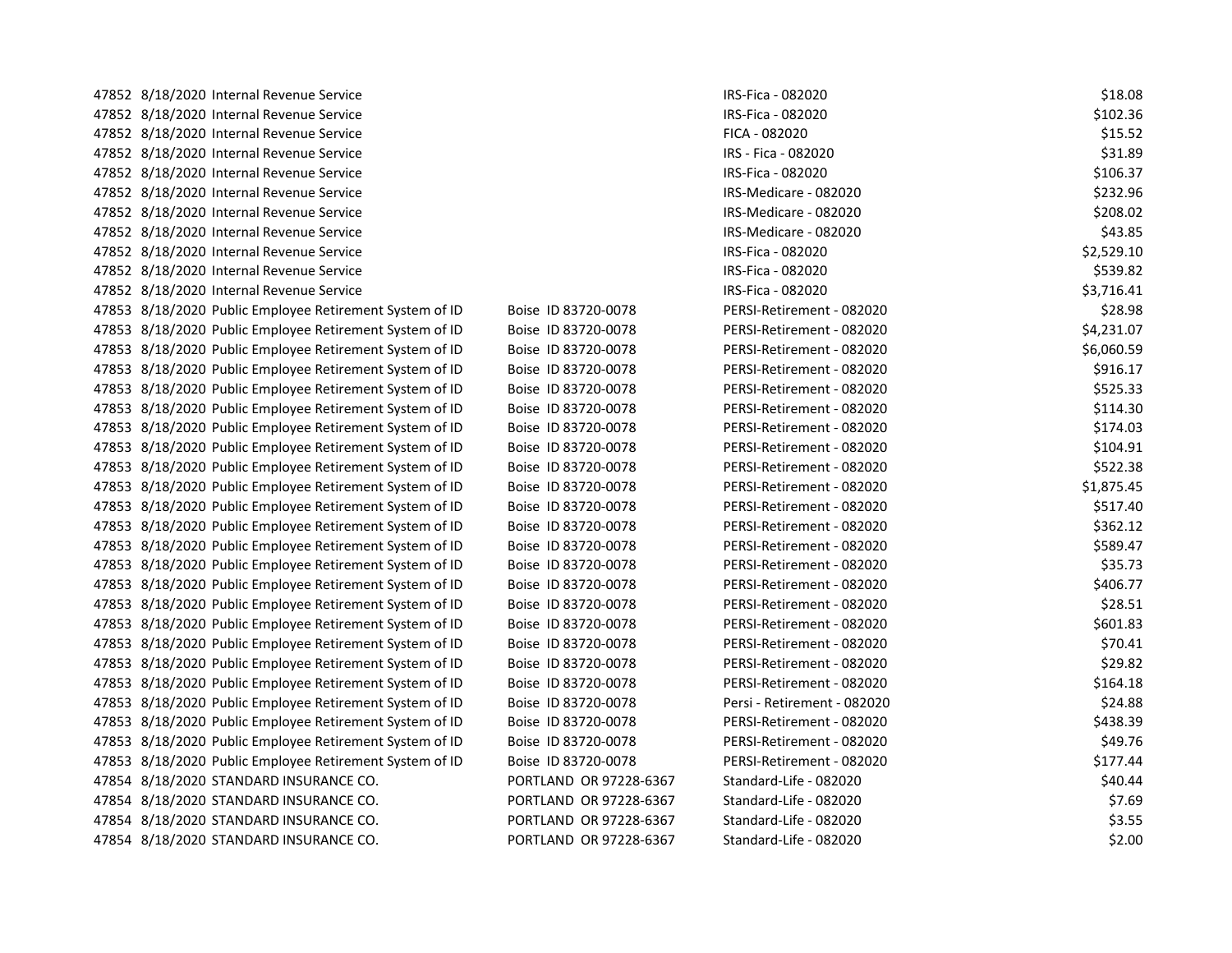| 47852 8/18/2020 Internal Revenue Service                |                        | IRS-Fica - 082020           | \$18.08    |
|---------------------------------------------------------|------------------------|-----------------------------|------------|
| 47852 8/18/2020 Internal Revenue Service                |                        | IRS-Fica - 082020           | \$102.36   |
| 47852 8/18/2020 Internal Revenue Service                |                        | FICA - 082020               | \$15.52    |
| 47852 8/18/2020 Internal Revenue Service                |                        | IRS - Fica - 082020         | \$31.89    |
| 47852 8/18/2020 Internal Revenue Service                |                        | IRS-Fica - 082020           | \$106.37   |
| 47852 8/18/2020 Internal Revenue Service                |                        | IRS-Medicare - 082020       | \$232.96   |
| 47852 8/18/2020 Internal Revenue Service                |                        | IRS-Medicare - 082020       | \$208.02   |
| 47852 8/18/2020 Internal Revenue Service                |                        | IRS-Medicare - 082020       | \$43.85    |
| 47852 8/18/2020 Internal Revenue Service                |                        | IRS-Fica - 082020           | \$2,529.10 |
| 47852 8/18/2020 Internal Revenue Service                |                        | IRS-Fica - 082020           | \$539.82   |
| 47852 8/18/2020 Internal Revenue Service                |                        | IRS-Fica - 082020           | \$3,716.41 |
| 47853 8/18/2020 Public Employee Retirement System of ID | Boise ID 83720-0078    | PERSI-Retirement - 082020   | \$28.98    |
| 47853 8/18/2020 Public Employee Retirement System of ID | Boise ID 83720-0078    | PERSI-Retirement - 082020   | \$4,231.07 |
| 47853 8/18/2020 Public Employee Retirement System of ID | Boise ID 83720-0078    | PERSI-Retirement - 082020   | \$6,060.59 |
| 47853 8/18/2020 Public Employee Retirement System of ID | Boise ID 83720-0078    | PERSI-Retirement - 082020   | \$916.17   |
| 47853 8/18/2020 Public Employee Retirement System of ID | Boise ID 83720-0078    | PERSI-Retirement - 082020   | \$525.33   |
| 47853 8/18/2020 Public Employee Retirement System of ID | Boise ID 83720-0078    | PERSI-Retirement - 082020   | \$114.30   |
| 47853 8/18/2020 Public Employee Retirement System of ID | Boise ID 83720-0078    | PERSI-Retirement - 082020   | \$174.03   |
| 47853 8/18/2020 Public Employee Retirement System of ID | Boise ID 83720-0078    | PERSI-Retirement - 082020   | \$104.91   |
| 47853 8/18/2020 Public Employee Retirement System of ID | Boise ID 83720-0078    | PERSI-Retirement - 082020   | \$522.38   |
| 47853 8/18/2020 Public Employee Retirement System of ID | Boise ID 83720-0078    | PERSI-Retirement - 082020   | \$1,875.45 |
| 47853 8/18/2020 Public Employee Retirement System of ID | Boise ID 83720-0078    | PERSI-Retirement - 082020   | \$517.40   |
| 47853 8/18/2020 Public Employee Retirement System of ID | Boise ID 83720-0078    | PERSI-Retirement - 082020   | \$362.12   |
| 47853 8/18/2020 Public Employee Retirement System of ID | Boise ID 83720-0078    | PERSI-Retirement - 082020   | \$589.47   |
| 47853 8/18/2020 Public Employee Retirement System of ID | Boise ID 83720-0078    | PERSI-Retirement - 082020   | \$35.73    |
| 47853 8/18/2020 Public Employee Retirement System of ID | Boise ID 83720-0078    | PERSI-Retirement - 082020   | \$406.77   |
| 47853 8/18/2020 Public Employee Retirement System of ID | Boise ID 83720-0078    | PERSI-Retirement - 082020   | \$28.51    |
| 47853 8/18/2020 Public Employee Retirement System of ID | Boise ID 83720-0078    | PERSI-Retirement - 082020   | \$601.83   |
| 47853 8/18/2020 Public Employee Retirement System of ID | Boise ID 83720-0078    | PERSI-Retirement - 082020   | \$70.41    |
| 47853 8/18/2020 Public Employee Retirement System of ID | Boise ID 83720-0078    | PERSI-Retirement - 082020   | \$29.82    |
| 47853 8/18/2020 Public Employee Retirement System of ID | Boise ID 83720-0078    | PERSI-Retirement - 082020   | \$164.18   |
| 47853 8/18/2020 Public Employee Retirement System of ID | Boise ID 83720-0078    | Persi - Retirement - 082020 | \$24.88    |
| 47853 8/18/2020 Public Employee Retirement System of ID | Boise ID 83720-0078    | PERSI-Retirement - 082020   | \$438.39   |
| 47853 8/18/2020 Public Employee Retirement System of ID | Boise ID 83720-0078    | PERSI-Retirement - 082020   | \$49.76    |
| 47853 8/18/2020 Public Employee Retirement System of ID | Boise ID 83720-0078    | PERSI-Retirement - 082020   | \$177.44   |
| 47854 8/18/2020 STANDARD INSURANCE CO.                  | PORTLAND OR 97228-6367 | Standard-Life - 082020      | \$40.44    |
| 47854 8/18/2020 STANDARD INSURANCE CO.                  | PORTLAND OR 97228-6367 | Standard-Life - 082020      | \$7.69     |
| 47854 8/18/2020 STANDARD INSURANCE CO.                  | PORTLAND OR 97228-6367 | Standard-Life - 082020      | \$3.55     |
| 47854 8/18/2020 STANDARD INSURANCE CO.                  | PORTLAND OR 97228-6367 | Standard-Life - 082020      | \$2.00     |